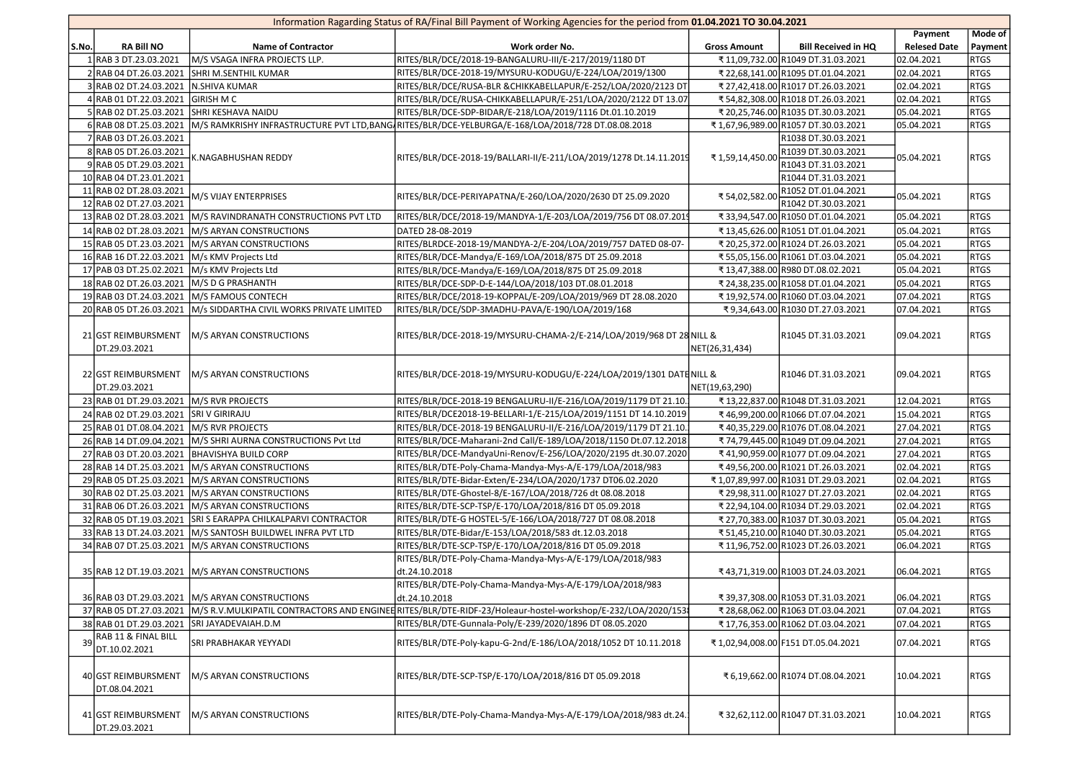| Information Ragarding Status of RA/Final Bill Payment of Working Agencies for the period from 01.04.2021 TO 30.04.2021 |                                                 |                                                                                                              |                     |                                            |                     |             |  |  |  |  |  |
|------------------------------------------------------------------------------------------------------------------------|-------------------------------------------------|--------------------------------------------------------------------------------------------------------------|---------------------|--------------------------------------------|---------------------|-------------|--|--|--|--|--|
|                                                                                                                        |                                                 |                                                                                                              |                     |                                            | Payment             | Mode of     |  |  |  |  |  |
| <b>RA Bill NO</b><br>SS.No.                                                                                            | <b>Name of Contractor</b>                       | Work order No.                                                                                               | <b>Gross Amount</b> | <b>Bill Received in HQ</b>                 | <b>Relesed Date</b> | Payment     |  |  |  |  |  |
| 1 RAB 3 DT.23.03.2021                                                                                                  | M/S VSAGA INFRA PROJECTS LLP.                   | RITES/BLR/DCE/2018-19-BANGALURU-III/E-217/2019/1180 DT                                                       |                     | ₹11,09,732.00 R1049 DT.31.03.2021          | 02.04.2021          | <b>RTGS</b> |  |  |  |  |  |
| 2 RAB 04 DT.26.03.2021                                                                                                 | <b>SHRI M.SENTHIL KUMAR</b>                     | RITES/BLR/DCE-2018-19/MYSURU-KODUGU/E-224/LOA/2019/1300                                                      |                     | ₹ 22,68,141.00 R1095 DT.01.04.2021         | 02.04.2021          | <b>RTGS</b> |  |  |  |  |  |
| 3 RAB 02 DT.24.03.2021                                                                                                 | N.SHIVA KUMAR                                   | RITES/BLR/DCE/RUSA-BLR & CHIKKABELLAPUR/E-252/LOA/2020/2123 DT                                               |                     | ₹ 27,42,418.00 R1017 DT.26.03.2021         | 02.04.2021          | <b>RTGS</b> |  |  |  |  |  |
| 4 RAB 01 DT.22.03.2021                                                                                                 | <b>GIRISH M C</b>                               | RITES/BLR/DCE/RUSA-CHIKKABELLAPUR/E-251/LOA/2020/2122 DT 13.07                                               |                     | ₹54,82,308.00 R1018 DT.26.03.2021          | 02.04.2021          | <b>RTGS</b> |  |  |  |  |  |
| 5 RAB 02 DT.25.03.2021                                                                                                 | <b>SHRI KESHAVA NAIDU</b>                       | RITES/BLR/DCE-SDP-BIDAR/E-218/LOA/2019/1116 Dt.01.10.2019                                                    |                     | ₹ 20,25,746.00 R1035 DT.30.03.2021         | 05.04.2021          | <b>RTGS</b> |  |  |  |  |  |
| 6 RAB 08 DT.25.03.2021                                                                                                 |                                                 | M/S RAMKRISHY INFRASTRUCTURE PVT LTD,BANG RITES/BLR/DCE-YELBURGA/E-168/LOA/2018/728 DT.08.08.2018            |                     | ₹1,67,96,989.00 R1057 DT.30.03.2021        | 05.04.2021          | <b>RTGS</b> |  |  |  |  |  |
| 7 RAB 03 DT.26.03.2021                                                                                                 |                                                 |                                                                                                              |                     | R1038 DT.30.03.2021                        |                     |             |  |  |  |  |  |
| 8 RAB 05 DT.26.03.2021                                                                                                 | <b>C.NAGABHUSHAN REDDY</b>                      | RITES/BLR/DCE-2018-19/BALLARI-II/E-211/LOA/2019/1278 Dt.14.11.2019                                           | ₹1,59,14,450.00     | R1039 DT.30.03.2021                        | 05.04.2021          | <b>RTGS</b> |  |  |  |  |  |
| 9 RAB 05 DT.29.03.2021                                                                                                 |                                                 |                                                                                                              |                     | R1043 DT.31.03.2021<br>R1044 DT.31.03.2021 |                     |             |  |  |  |  |  |
| 10 RAB 04 DT.23.01.2021                                                                                                |                                                 |                                                                                                              |                     |                                            |                     |             |  |  |  |  |  |
| 11 RAB 02 DT.28.03.2021<br>12 RAB 02 DT.27.03.2021                                                                     | M/S VIJAY ENTERPRISES                           | RITES/BLR/DCE-PERIYAPATNA/E-260/LOA/2020/2630 DT 25.09.2020                                                  | ₹ 54,02,582.00      | R1052 DT.01.04.2021<br>R1042 DT.30.03.2021 | 05.04.2021          | <b>RTGS</b> |  |  |  |  |  |
|                                                                                                                        |                                                 | RITES/BLR/DCE/2018-19/MANDYA-1/E-203/LOA/2019/756 DT 08.07.2019                                              |                     |                                            |                     | RTGS        |  |  |  |  |  |
| 13 RAB 02 DT.28.03.2021                                                                                                | M/S RAVINDRANATH CONSTRUCTIONS PVT LTD          |                                                                                                              |                     | ₹ 33,94,547.00 R1050 DT.01.04.2021         | 05.04.2021          |             |  |  |  |  |  |
| 14 RAB 02 DT.28.03.2021                                                                                                | M/S ARYAN CONSTRUCTIONS                         | DATED 28-08-2019                                                                                             |                     | ₹13,45,626.00 R1051 DT.01.04.2021          | 05.04.2021          | <b>RTGS</b> |  |  |  |  |  |
| 15 RAB 05 DT.23.03.2021                                                                                                | M/S ARYAN CONSTRUCTIONS                         | RITES/BLRDCE-2018-19/MANDYA-2/E-204/LOA/2019/757 DATED 08-07-                                                |                     | ₹ 20,25,372.00 R1024 DT.26.03.2021         | 05.04.2021          | <b>RTGS</b> |  |  |  |  |  |
| 16 RAB 16 DT.22.03.2021                                                                                                | M/s KMV Projects Ltd                            | RITES/BLR/DCE-Mandya/E-169/LOA/2018/875 DT 25.09.2018                                                        |                     | ₹55,05,156.00 R1061 DT.03.04.2021          | 05.04.2021          | <b>RTGS</b> |  |  |  |  |  |
| 17 PAB 03 DT.25.02.2021                                                                                                | M/s KMV Projects Ltd                            | RITES/BLR/DCE-Mandya/E-169/LOA/2018/875 DT 25.09.2018                                                        |                     | ₹13,47,388.00 R980 DT.08.02.2021           | 05.04.2021          | <b>RTGS</b> |  |  |  |  |  |
| 18 RAB 02 DT.26.03.2021                                                                                                | M/S D G PRASHANTH                               | RITES/BLR/DCE-SDP-D-E-144/LOA/2018/103 DT.08.01.2018                                                         |                     | ₹ 24,38,235.00 R1058 DT.01.04.2021         | 05.04.2021          | <b>RTGS</b> |  |  |  |  |  |
| 19 RAB 03 DT.24.03.2021                                                                                                | <b>IM/S FAMOUS CONTECH</b>                      | RITES/BLR/DCE/2018-19-KOPPAL/E-209/LOA/2019/969 DT 28.08.2020                                                |                     | ₹ 19,92,574.00 R1060 DT.03.04.2021         | 07.04.2021          | <b>RTGS</b> |  |  |  |  |  |
| 20 RAB 05 DT.26.03.2021                                                                                                | M/s SIDDARTHA CIVIL WORKS PRIVATE LIMITED       | RITES/BLR/DCE/SDP-3MADHU-PAVA/E-190/LOA/2019/168                                                             |                     | ₹9,34,643.00 R1030 DT.27.03.2021           | 07.04.2021          | RTGS        |  |  |  |  |  |
| 21 GST REIMBURSMENT<br>DT.29.03.2021                                                                                   | M/S ARYAN CONSTRUCTIONS                         | RITES/BLR/DCE-2018-19/MYSURU-CHAMA-2/E-214/LOA/2019/968 DT 28 NILL &                                         | NET(26,31,434)      | R1045 DT.31.03.2021                        | 09.04.2021          | <b>RTGS</b> |  |  |  |  |  |
| 22 GST REIMBURSMENT<br>DT.29.03.2021                                                                                   | M/S ARYAN CONSTRUCTIONS                         | RITES/BLR/DCE-2018-19/MYSURU-KODUGU/E-224/LOA/2019/1301 DATE NILL &                                          | NET(19,63,290)      | R1046 DT.31.03.2021                        | 09.04.2021          | <b>RTGS</b> |  |  |  |  |  |
| 23 RAB 01 DT.29.03.2021 M/S RVR PROJECTS                                                                               |                                                 | RITES/BLR/DCE-2018-19 BENGALURU-II/E-216/LOA/2019/1179 DT 21.10.                                             |                     | ₹13,22,837.00 R1048 DT.31.03.2021          | 12.04.2021          | <b>RTGS</b> |  |  |  |  |  |
| 24 RAB 02 DT.29.03.2021                                                                                                | <b>SRIV GIRIRAJU</b>                            | RITES/BLR/DCE2018-19-BELLARI-1/E-215/LOA/2019/1151 DT 14.10.2019                                             |                     | ₹46,99,200.00 R1066 DT.07.04.2021          | 15.04.2021          | <b>RTGS</b> |  |  |  |  |  |
| 25 RAB 01 DT.08.04.2021                                                                                                | M/S RVR PROJECTS                                | RITES/BLR/DCE-2018-19 BENGALURU-II/E-216/LOA/2019/1179 DT 21.10.                                             |                     | ₹40,35,229.00 R1076 DT.08.04.2021          | 27.04.2021          | <b>RTGS</b> |  |  |  |  |  |
| 26 RAB 14 DT.09.04.2021                                                                                                | M/S SHRI AURNA CONSTRUCTIONS Pvt Ltd            | RITES/BLR/DCE-Maharani-2nd Call/E-189/LOA/2018/1150 Dt.07.12.2018                                            |                     | ₹74,79,445.00 R1049 DT.09.04.2021          | 27.04.2021          | <b>RTGS</b> |  |  |  |  |  |
| 27 RAB 03 DT.20.03.2021 BHAVISHYA BUILD CORP                                                                           |                                                 | RITES/BLR/DCE-MandyaUni-Renov/E-256/LOA/2020/2195 dt.30.07.2020                                              |                     | ₹41,90,959.00 R1077 DT.09.04.2021          | 27.04.2021          | <b>RTGS</b> |  |  |  |  |  |
| 28 RAB 14 DT.25.03.2021                                                                                                | M/S ARYAN CONSTRUCTIONS                         | RITES/BLR/DTE-Poly-Chama-Mandya-Mys-A/E-179/LOA/2018/983                                                     |                     | ₹49,56,200.00 R1021 DT.26.03.2021          | 02.04.2021          | <b>RTGS</b> |  |  |  |  |  |
| 29 RAB 05 DT.25.03.2021                                                                                                | M/S ARYAN CONSTRUCTIONS                         | RITES/BLR/DTE-Bidar-Exten/E-234/LOA/2020/1737 DT06.02.2020                                                   |                     | ₹1,07,89,997.00 R1031 DT.29.03.2021        | 02.04.2021          | <b>RTGS</b> |  |  |  |  |  |
| 30 RAB 02 DT.25.03.2021                                                                                                | M/S ARYAN CONSTRUCTIONS                         | RITES/BLR/DTE-Ghostel-8/E-167/LOA/2018/726 dt 08.08.2018                                                     |                     | ₹ 29,98,311.00 R1027 DT.27.03.2021         | 02.04.2021          | <b>RTGS</b> |  |  |  |  |  |
| 31 RAB 06 DT.26.03.2021                                                                                                | M/S ARYAN CONSTRUCTIONS                         | RITES/BLR/DTE-SCP-TSP/E-170/LOA/2018/816 DT 05.09.2018                                                       |                     | ₹ 22,94,104.00 R1034 DT.29.03.2021         | 02.04.2021          | <b>RTGS</b> |  |  |  |  |  |
| 32 RAB 05 DT.19.03.2021                                                                                                | SRI S EARAPPA CHILKALPARVI CONTRACTOR           | RITES/BLR/DTE-G HOSTEL-5/E-166/LOA/2018/727 DT 08.08.2018                                                    |                     | ₹ 27,70,383.00 R1037 DT.30.03.2021         | 05.04.2021          | <b>RTGS</b> |  |  |  |  |  |
| 33 RAB 13 DT.24.03.2021                                                                                                | M/S SANTOSH BUILDWEL INFRA PVT LTD              | RITES/BLR/DTE-Bidar/E-153/LOA/2018/583 dt.12.03.2018                                                         |                     | ₹51,45,210.00 R1040 DT.30.03.2021          | 05.04.2021          | <b>RTGS</b> |  |  |  |  |  |
| 34 RAB 07 DT.25.03.2021                                                                                                | M/S ARYAN CONSTRUCTIONS                         | RITES/BLR/DTE-SCP-TSP/E-170/LOA/2018/816 DT 05.09.2018                                                       |                     | ₹11,96,752.00 R1023 DT.26.03.2021          | 06.04.2021          | <b>RTGS</b> |  |  |  |  |  |
| 35 RAB 12 DT.19.03.2021                                                                                                | M/S ARYAN CONSTRUCTIONS                         | RITES/BLR/DTE-Poly-Chama-Mandya-Mys-A/E-179/LOA/2018/983<br>dt.24.10.2018                                    |                     | ₹ 43,71,319.00 R1003 DT.24.03.2021         | 06.04.2021          | <b>RTGS</b> |  |  |  |  |  |
|                                                                                                                        | 36 RAB 03 DT.29.03.2021 M/S ARYAN CONSTRUCTIONS | RITES/BLR/DTE-Poly-Chama-Mandya-Mys-A/E-179/LOA/2018/983<br>dt.24.10.2018                                    |                     | ₹ 39,37,308.00 R1053 DT.31.03.2021         | 06.04.2021          | <b>RTGS</b> |  |  |  |  |  |
| 37 RAB 05 DT.27.03.2021                                                                                                |                                                 | M/S R.V.MULKIPATIL CONTRACTORS AND ENGINEE RITES/BLR/DTE-RIDF-23/Holeaur-hostel-workshop/E-232/LOA/2020/1538 |                     | ₹ 28,68,062.00 R1063 DT.03.04.2021         | 07.04.2021          | <b>RTGS</b> |  |  |  |  |  |
| 38 RAB 01 DT.29.03.2021                                                                                                | SRI JAYADEVAIAH.D.M                             | RITES/BLR/DTE-Gunnala-Poly/E-239/2020/1896 DT 08.05.2020                                                     |                     | ₹17,76,353.00 R1062 DT.03.04.2021          | 07.04.2021          | <b>RTGS</b> |  |  |  |  |  |
| RAB 11 & FINAL BILL<br>39<br>DT.10.02.2021                                                                             | SRI PRABHAKAR YEYYADI                           | RITES/BLR/DTE-Poly-kapu-G-2nd/E-186/LOA/2018/1052 DT 10.11.2018                                              |                     | ₹1,02,94,008.00 F151 DT.05.04.2021         | 07.04.2021          | <b>RTGS</b> |  |  |  |  |  |
| 40 GST REIMBURSMENT<br>DT.08.04.2021                                                                                   | M/S ARYAN CONSTRUCTIONS                         | RITES/BLR/DTE-SCP-TSP/E-170/LOA/2018/816 DT 05.09.2018                                                       |                     | ₹6,19,662.00 R1074 DT.08.04.2021           | 10.04.2021          | <b>RTGS</b> |  |  |  |  |  |
| 41 GST REIMBURSMENT<br>DT.29.03.2021                                                                                   | M/S ARYAN CONSTRUCTIONS                         | RITES/BLR/DTE-Poly-Chama-Mandya-Mys-A/E-179/LOA/2018/983 dt.24.                                              |                     | ₹32,62,112.00 R1047 DT.31.03.2021          | 10.04.2021          | RTGS        |  |  |  |  |  |